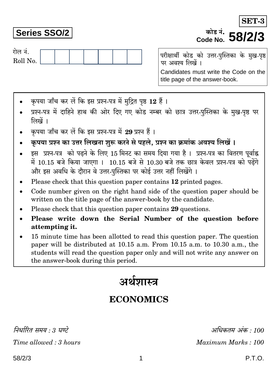# **Series SSO/2**

रोल नं.

Roll No.

परीक्षार्थी कोड को उत्तर-पुस्तिका के मुख-पृष्ठ पर अवश्य लिखें । Candidates must write the Code on the title page of the answer-book.

कोड़ नं.

Code No. 58/2/3

- कपया जाँच कर लें कि इस प्रश्न-पत्र में मुद्रित पृष्ठ 12 हैं।
- प्रश्न-पत्र में दाहिने हाथ की ओर दिए गए कोड नम्बर को छात्र उत्तर-पुस्तिका के मुख-पृष्ठ पर लिखें ।
- कपया जाँच कर लें कि इस प्रश्न-पत्र में 29 प्रश्न हैं।
- कृपया प्रश्न का उत्तर लिखना शुरू करने से पहले, प्रश्न का क्रमांक अवश्य लिखें ।
- इस प्रश्न-पत्र को पढ़ने के लिए 15 मिनट का समय दिया गया है। प्रश्न-पत्र का वितरण पर्वाह्न में 10.15 बजे किया जाएगा । 10.15 बजे से 10.30 बजे तक छात्र केवल प्रश्न-पत्र को पढ़ेंगे और इस अवधि के दौरान वे उत्तर-पस्तिका पर कोई उत्तर नहीं लिखेंगे ।
- Please check that this question paper contains 12 printed pages.
- Code number given on the right hand side of the question paper should be  $\bullet$ written on the title page of the answer-book by the candidate.
- Please check that this question paper contains 29 questions.
- Please write down the Serial Number of the question before attempting it.
- 15 minute time has been allotted to read this question paper. The question paper will be distributed at 10.15 a.m. From 10.15 a.m. to 10.30 a.m., the students will read the question paper only and will not write any answer on the answer-book during this period.

# अर्थशास्त्र

# **ECONOMICS**

निर्धारित समय : 3 घण्टे Time allowed: 3 hours

अधिकतम अंक : 100 Maximum Marks: 100

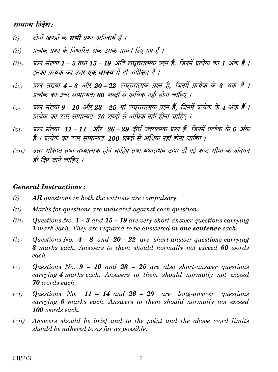# सामान्य निर्देश:

- दोनों खण्डों के **सभी** प्रश्न अनिवार्य हैं ।  $(i)$
- प्रत्येक प्रश्न के निर्धारित अंक उसके सामने दिए गए हैं ।  $(ii)$
- प्रश्न संख्या 1 3 तथा 15 19 अति लघूत्तरात्मक प्रश्न हैं. जिनमें प्रत्येक का 1 अंक है ।  $(iii)$ इनका प्रत्येक का उत्तर **एक वाक्य** में ही अपेक्षित है ।
- प्रश्न संख्या 4 8 और 20 22 लघुत्तरात्मक प्रश्न हैं, जिनमें प्रत्येक के 3 अंक हैं ।  $(iv)$ प्रत्येक का उत्तर सामान्यतः 60 शब्दों से अधिक नहीं होना चाहिए ।
- प्रश्न संख्या 9 10 और 23 25 भी लघूत्तरात्मक प्रश्न हैं, जिनमें प्रत्येक के 4 अंक हैं ।  $(v)$ प्रत्येक का उत्तर सामान्यतः 70 शब्दों से अधिक नहीं होना चाहिए ।
- प्रश्न संख्या 11 14 और 26 29 दीर्घ उत्तरात्मक प्रश्न हैं, जिनमें प्रत्येक के 6 अंक  $(vi)$ हैं । प्रत्येक का उत्तर सामान्यतः 100 शब्दों से अधिक नहीं होना चाहिए ।
- उत्तर संक्षिप्त तथा तथ्यात्मक होने चाहिए तथा यथासंभव ऊपर दी गई शब्द सीमा के अंतर्गत  $(iii)$ ही दिए जाने चाहिए ।

#### **General Instructions:**

- $(i)$ **All** questions in both the sections are compulsory.
- $(ii)$ Marks for questions are indicated against each question.
- $(iii)$ Questions No.  $1-3$  and  $15-19$  are very short-answer questions carrying 1 mark each. They are required to be answered in **one sentence** each.
- $(iv)$ Questions No.  $4-8$  and  $20-22$  are short-answer questions carrying 3 marks each. Answers to them should normally not exceed 60 words each.
- Questions No.  $9 10$  and  $23 25$  are also short-answer questions  $(v)$ carrying 4 marks each. Answers to them should normally not exceed **70** words each.
- $(vi)$ Questions No.  $11 - 14$  and  $26 - 29$  are long-answer questions carrying 6 marks each. Answers to them should normally not exceed 100 words each.
- Answers should be brief and to the point and the above word limits  $(vii)$ should be adhered to as far as possible.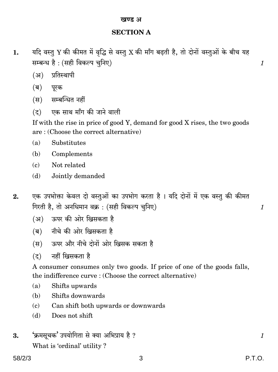# **SECTION A**

- यदि वस्तु Y की कीमत में वृद्धि से वस्तु X की माँग बढ़ती है, तो दोनों वस्तुओं के बीच यह 1. सम्बन्ध है: (सही विकल्प चुनिए)
	- (अ) प्रतिस्थापी
	- (ब) पूरक
	- (स) सम्बन्धित नहीं
	- एक साथ माँग की जाने वाली  $(5)$

If with the rise in price of good Y, demand for good X rises, the two goods are: (Choose the correct alternative)

- $(a)$ Substitutes
- $(h)$ Complements
- $(c)$ Not related
- Jointly demanded  $(d)$
- एक उपभोक्ता केवल दो वस्तुओं का उपभोग करता है। यदि दोनों में एक वस्तु की कीमत  $2.$ गिरती है, तो अनधिमान वक्र : (सही विकल्प चुनिए)
	- (अ) ऊपर की ओर खिसकता है
	- (ब) नीचे की ओर खिसकता है
	- (स) ऊपर और नीचे दोनों ओर खिसक सकता है
	- नहीं खिसकता है  $(5)$

A consumer consumes only two goods. If price of one of the goods falls, the indifference curve : (Choose the correct alternative)

- $(a)$ Shifts upwards
- (b) Shifts downwards
- $(c)$ Can shift both upwards or downwards
- $(d)$ Does not shift
- 'क्रमसूचक' उपयोगिता से क्या अभिप्राय है ? 3. What is 'ordinal' utility?

 $\mathcal{I}_{\mathcal{L}}$ 

 $\mathcal{I}_{\mathcal{L}}$ 

 $\mathcal{I}$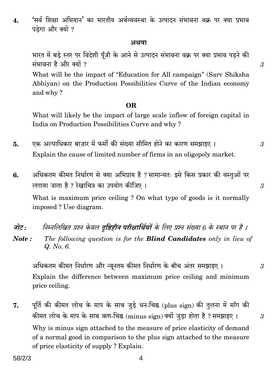$58/2/3$ 

'सर्व शिक्षा अभियान' का भारतीय अर्थव्यवस्था के उत्पादन संभावना वक्र पर क्या प्रभाव  $\overline{4}$ . पडेगा और क्यों ?

#### अथवा

भारत में बड़े स्तर पर विदेशी पूँजी के आने से उत्पादन संभावना वक्र पर क्या प्रभाव पड़ने की संभावना है और क्यों ?

What will be the impact of "Education for All campaign" (Sarv Shiksha Abhiyan) on the Production Possibilities Curve of the Indian economy and why?

#### OR.

What will likely be the impact of large scale inflow of foreign capital in India on Production Possibilities Curve and why?

- एक अल्पाधिकार बाजार में फर्मों की संख्या सीमित होने का कारण समझाइए । 5. Explain the cause of limited number of firms in an oligopoly market.
- अधिकतम कीमत निर्धारण से क्या अभिप्राय है ? सामान्यतः इसे किस प्रकार की वस्तुओं पर 6. लगाया जाता है ? रेखाचित्र का उपयोग कीजिए ।

What is maximum price ceiling? On what type of goods is it normally imposed? Use diagram.

निम्नलिखित प्रश्न केवल द्रष्टिहीन परीक्षार्थियों के लिए प्रश्न संख्या 6 के स्थान पर है । नोट : The following question is for the **Blind Candidates** only in lieu of Note: Q. No. 6.

अधिकतम कीमत निर्धारण और न्यूनतम कीमत निर्धारण के बीच अंतर समझाइए । Explain the difference between maximum price ceiling and minimum price ceiling.

पूर्ति की कीमत लोच के माप के साथ जुड़े धन-चिह्न (plus sign) की तुलना में माँग की 7. कीमत लोच के माप के साथ ऋण-चिह्न (minus sign) क्यों जुड़ा होता है ? समझाइए । Why is minus sign attached to the measure of price elasticity of demand of a normal good in comparison to the plus sign attached to the measure of price elasticity of supply? Explain.

3

 $\mathcal{S}$ 

 $\mathfrak{Z}$ 

 $\mathcal{S}$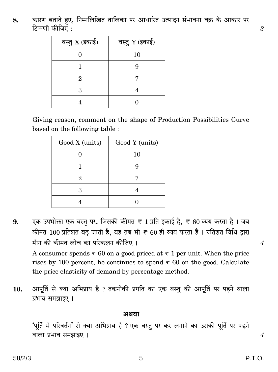कारण बताते हए, निम्नलिखित तालिका पर आधारित उत्पादन संभावना वक्र के आकार पर 8. टिप्पणी कीजिए :

| वस्तु $X$ (इकाई) | वस्तु Y (इकाई) |
|------------------|----------------|
|                  | 10             |
|                  | q              |
| 2.               |                |
| З                |                |
|                  |                |

Giving reason, comment on the shape of Production Possibilities Curve based on the following table:

| Good X (units) | Good Y (units) |  |
|----------------|----------------|--|
|                | 10             |  |
|                | ч              |  |
| 2              |                |  |
| З              |                |  |
|                |                |  |

एक उपभोक्ता एक वस्तु पर, जिसकी कीमत ₹ 1 प्रति इकाई है, ₹ 60 व्यय करता है। जब 9. कीमत 100 प्रतिशत बढ़ जाती है, वह तब भी ₹ 60 ही व्यय करता है। प्रतिशत विधि द्वारा माँग की कीमत लोच का परिकलन कीजिए।

A consumer spends  $\overline{\epsilon}$  60 on a good priced at  $\overline{\epsilon}$  1 per unit. When the price rises by 100 percent, he continues to spend  $\overline{\tau}$  60 on the good. Calculate the price elasticity of demand by percentage method.

आपूर्ति से क्या अभिप्राय है ? तकनीकी प्रगति का एक वस्तु की आपूर्ति पर पड़ने वाला 10. प्रभाव समझाइए ।

#### अथवा

'पूर्ति में परिवर्तन' से क्या अभिप्राय है ? एक वस्तु पर कर लगाने का उसकी पूर्ति पर पड़ने वाला प्रभाव समझाइए ।

 $\overline{4}$ 

 $\overline{4}$ 

3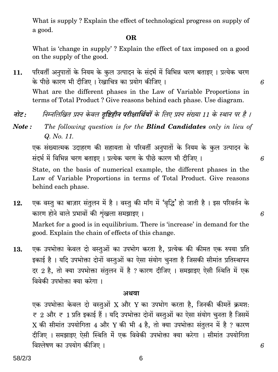What is supply? Explain the effect of technological progress on supply of a good.

#### OR.

What is 'change in supply'? Explain the effect of tax imposed on a good on the supply of the good.

परिवर्ती अनुपातों के नियम के कुल उत्पादन के संदर्भ में विभिन्न चरण बताइए । प्रत्येक चरण 11. के पीछे कारण भी दीजिए। रेखाचित्र का प्रयोग कीजिए। What are the different phases in the Law of Variable Proportions in terms of Total Product? Give reasons behind each phase. Use diagram.

- नोट : निम्नलिखित प्रश्न केवल **दृष्टिहीन परीक्षार्थियों** के लिए प्रश्न संख्या 11 के स्थान पर है ।
- The following question is for the **Blind Candidates** only in lieu of Note: Q. No. 11.

एक संख्यात्मक उदाहरण की सहायता से परिवर्ती अनुपातों के नियम के कुल उत्पादन के संदर्भ में विभिन्न चरण बताइए । प्रत्येक चरण के पीछे कारण भी दीजिए ।

State, on the basis of numerical example, the different phases in the Law of Variable Proportions in terms of Total Product. Give reasons behind each phase.

- एक वस्तु का बाज़ार संतुलन में है। वस्तु की माँग में 'वृद्धि' हो जाती है। इस परिवर्तन के 12. कारण होने वाले प्रभावों की शृंखला समझाइए। Market for a good is in equilibrium. There is 'increase' in demand for the good. Explain the chain of effects of this change.
- एक उपभोक्ता केवल दो वस्तुओं का उपभोग करता है, प्रत्येक की कीमत एक रुपया प्रति 13. इकाई है। यदि उपभोक्ता दोनों वस्तुओं का ऐसा संयोग चुनता है जिसकी सीमांत प्रतिस्थापन दर 2 है, तो क्या उपभोक्ता संतुलन में है ? कारण दीजिए । समझाइए ऐसी स्थिति में एक विवेकी उपभोक्ता क्या करेगा।

#### अथवा

एक उपभोक्ता केवल दो वस्तुओं X और Y का उपभोग करता है, जिनकी कीमतें क्रमश:  $\overline{\tau}$  2 और  $\overline{\tau}$  1 प्रति इकाई हैं । यदि उपभोक्ता दोनों वस्तुओं का ऐसा संयोग चुनता है जिसमें X की सीमांत उपयोगिता 4 और Y की भी 4 है, तो क्या उपभोक्ता संतुलन में है ? कारण दीजिए । समझाइए ऐसी स्थिति में एक विवेकी उपभोक्ता क्या करेगा । सीमांत उपयोगिता विश्लेषण का उपयोग कीजिए ।

6

6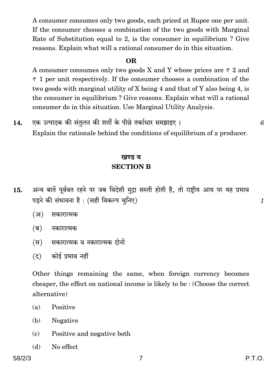A consumer consumes only two goods, each priced at Rupee one per unit. If the consumer chooses a combination of the two goods with Marginal Rate of Substitution equal to 2, is the consumer in equilibrium? Give reasons. Explain what will a rational consumer do in this situation.

#### **OR**

A consumer consumes only two goods X and Y whose prices are  $\overline{\tau}$  2 and  $\overline{\tau}$  1 per unit respectively. If the consumer chooses a combination of the two goods with marginal utility of X being 4 and that of Y also being 4, is the consumer in equilibrium? Give reasons. Explain what will a rational consumer do in this situation. Use Marginal Utility Analysis.

एक उत्पादक की संतुलन की शर्तों के पीछे तर्काधार समझाइए । 14.

Explain the rationale behind the conditions of equilibrium of a producer.

# खण्ड ब **SECTION B**

- अन्य बातें पूर्ववत रहने पर जब विदेशी मुद्रा सस्ती होती है, तो राष्ट्रीय आय पर यह प्रभाव 15. पड़ने की संभावना है: (सही विकल्प चुनिए)
	- $(3)$ सकारात्मक
	- (ब) नकारात्मक
	- सकारात्मक व नकारात्मक दोनों (स)
	- कोई प्रभाव नहीं  $(5)$

Other things remaining the same, when foreign currency becomes cheaper, the effect on national income is likely to be: (Choose the correct alternative)

- Positive  $(a)$
- (b) Negative
- Positive and negative both  $(c)$
- No effect (d)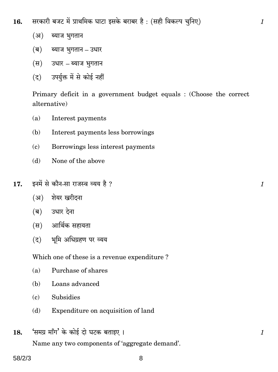सरकारी बजट में प्राथमिक घाटा इसके बराबर है: (सही विकल्प चुनिए) 16.

- $(3)$ ब्याज भगतान
- (ब) ब्याज भुगतान उधार
- (स) उधार ब्याज भूगतान
- (द) उपर्युक्त में से कोई नहीं

Primary deficit in a government budget equals : (Choose the correct alternative)

- Interest payments  $(a)$
- (b) Interest payments less borrowings
- Borrowings less interest payments  $\epsilon$
- $(d)$ None of the above
- इनमें से कौन-सा राजस्व व्यय है ? 17.
	- (अ) शेयर खरीदना
	- (ब) उधार देना
	- (स) आर्थिक सहायता
	- (द) भूमि अधिग्रहण पर व्यय

Which one of these is a revenue expenditure?

- Purchase of shares  $(a)$
- (b) Loans advanced
- Subsidies  $(c)$
- Expenditure on acquisition of land (d)
- 'समग्र माँग' के कोई दो घटक बताइए। 18.

Name any two components of 'aggregate demand'.

 $\mathcal{I}_{\mathcal{L}}$ 

 $\mathcal{I}_{\mathcal{L}}$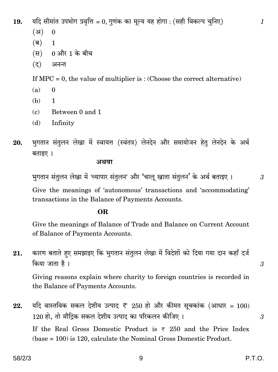यदि सीमांत उपभोग प्रवृत्ति = 0, गुणंक का मूल्य यह होगा : (सही विकल्प चुनिए) 19.

- $(3I)$  $\Omega$
- $(\overline{\mathsf{q}})$  $\mathbf{1}$
- 0 और 1 के बीच  $(\overline{H})$
- $(5)$ अनन्त

If MPC = 0, the value of multiplier is: (Choose the correct alternative)

- $(a)$  $\Omega$
- (b)  $\mathbf{1}$
- $(c)$ Between 0 and 1
- $(d)$ Infinity
- भुगतान संतुलन लेखा में स्वायत्त (स्वंतत्र) लेनदेन और समायोजन हेत् लेनदेन के अर्थ 20. बताइए ।

अथवा

भुगतान संतुलन लेखा में 'व्यापार संतुलन' और 'चालू खाता संतुलन' के अर्थ बताइए ।

 $\boldsymbol{3}$ 

 $\mathcal{S}$ 

3

 $\mathcal{I}$ 

Give the meanings of 'autonomous' transactions and 'accommodating' transactions in the Balance of Payments Accounts.

### OR.

Give the meanings of Balance of Trade and Balance on Current Account of Balance of Payments Accounts.

कारण बताते हुए समझाइए कि भुगतान संतुलन लेखा में विदेशों को दिया गया दान कहाँ दर्ज 21. किया जाता है।

Giving reasons explain where charity to foreign countries is recorded in the Balance of Payments Accounts.

यदि वास्तविक सकल देशीय उत्पाद ₹ 250 हो और कीमत सूचकांक (आधार = 100) 22. 120 हो. तो मौद्रिक सकल देशीय उत्पाद का परिकलन कीजिए। If the Real Gross Domestic Product is  $\overline{\tau}$  250 and the Price Index  $(\text{base} = 100)$  is 120, calculate the Nominal Gross Domestic Product.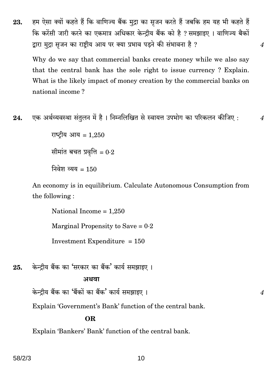हम ऐसा क्यों कहते हैं कि वाणिज्य बैंक मुद्रा का सुजन करते हैं जबकि हम यह भी कहते हैं 23. कि करेंसी जारी करने का एकमात्र अधिकार केन्दीय बैंक को है ? समझाइए । वाणिज्य बैकों द्वारा मुद्रा सुजन का राष्ट्रीय आय पर क्या प्रभाव पडने की संभावना है ?

Why do we say that commercial banks create money while we also say that the central bank has the sole right to issue currency? Explain. What is the likely impact of money creation by the commercial banks on national income?

 $\boldsymbol{4}$ 

 $\overline{4}$ 

 $\overline{\mathcal{A}}$ 

एक अर्थव्यवस्था संतुलन में है। निम्नलिखित से स्वायत्त उपभोग का परिकलन कीजिए : 24.

> राष्ट्रीय आय = 1.250 सीमांत बचत प्रवृत्ति =  $0.2$ निवेश व्यय =  $150$

An economy is in equilibrium. Calculate Autonomous Consumption from the following:

National Income  $= 1,250$ Marginal Propensity to Save =  $0.2$ Investment Expenditure  $= 150$ 

केन्द्रीय बैंक का 'सरकार का बैंक' कार्य समझाइए। 25.

#### अथवा

केन्द्रीय बैंक का 'बैंकों का बैंक' कार्य समझाइए ।

Explain 'Government's Bank' function of the central bank.

#### **OR**

Explain 'Bankers' Bank' function of the central bank.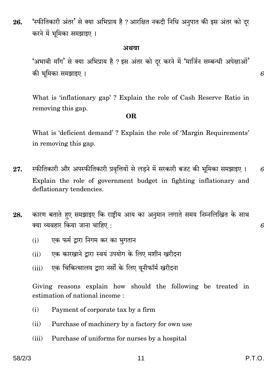'स्फीतिकारी अंतर' से क्या अभिप्राय है ? आरक्षित नकदी निधि अनुपात की इस अंतर को दूर 26. करने में भूमिका समझाइए।

#### अथवा

'अभावी माँग' से क्या अभिप्राय है ? इस अंतर को दूर करने में 'मार्जिन सम्बन्धी अपेक्षाओं' की भूमिका समझाइए ।

What is 'inflationary gap'? Explain the role of Cash Reserve Ratio in removing this gap.

#### OR.

What is 'deficient demand'? Explain the role of 'Margin Requirements' in removing this gap.

- स्फीतिकारी और अपस्फीतिकारी प्रवृत्तियों से लडने में सरकारी बजट की भूमिका समझाइए । 27. 6 Explain the role of government budget in fighting inflationary and deflationary tendencies.
- कारण बताते हए समझाइए कि राष्ट्रीय आय का अनुमान लगाते समय निम्नलिखित के साथ 28. क्या व्यवहार किया जाना चाहिए :
	- एक फर्म द्वारा निगम कर का भगतान  $(i)$
	- एक कारखाने द्वारा स्वयं उपयोग के लिए मशीन खरीदना  $(ii)$
	- एक चिकित्सालय द्वारा नर्सों के लिए यूनीफॉर्म खरीदना  $(iii)$

Giving reasons explain how should the following be treated in estimation of national income:

- $(i)$ Payment of corporate tax by a firm
- Purchase of machinery by a factory for own use  $(ii)$
- Purchase of uniforms for nurses by a hospital  $(iii)$

6